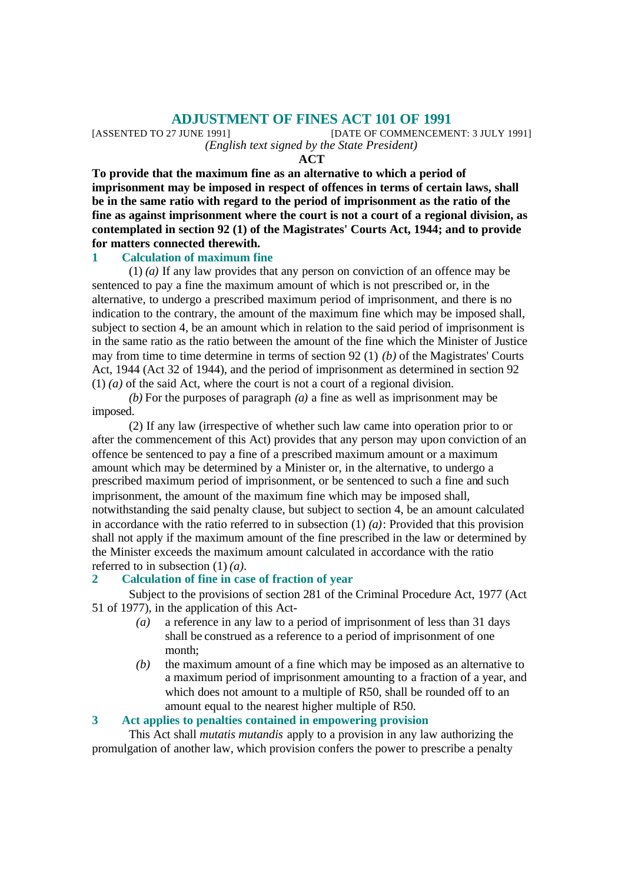**ADJUSTMENT OF FINES ACT 101 OF 1991**<br>[DATE OF COMMENCEME [DATE OF COMMENCEMENT: 3 JULY 1991] *(English text signed by the State President)*

**ACT**

**To provide that the maximum fine as an alternative to which a period of imprisonment may be imposed in respect of offences in terms of certain laws, shall be in the same ratio with regard to the period of imprisonment as the ratio of the fine as against imprisonment where the court is not a court of a regional division, as contemplated in section 92 (1) of the Magistrates' Courts Act, 1944; and to provide for matters connected therewith.**

#### **1 Calculation of maximum fine**

(1) *(a)* If any law provides that any person on conviction of an offence may be sentenced to pay a fine the maximum amount of which is not prescribed or, in the alternative, to undergo a prescribed maximum period of imprisonment, and there is no indication to the contrary, the amount of the maximum fine which may be imposed shall, subject to section 4, be an amount which in relation to the said period of imprisonment is in the same ratio as the ratio between the amount of the fine which the Minister of Justice may from time to time determine in terms of section 92 (1) *(b)* of the Magistrates' Courts Act, 1944 (Act 32 of 1944), and the period of imprisonment as determined in section 92 (1) *(a)* of the said Act, where the court is not a court of a regional division.

*(b)* For the purposes of paragraph *(a)* a fine as well as imprisonment may be imposed.

(2) If any law (irrespective of whether such law came into operation prior to or after the commencement of this Act) provides that any person may upon conviction of an offence be sentenced to pay a fine of a prescribed maximum amount or a maximum amount which may be determined by a Minister or, in the alternative, to undergo a prescribed maximum period of imprisonment, or be sentenced to such a fine and such imprisonment, the amount of the maximum fine which may be imposed shall, notwithstanding the said penalty clause, but subject to section 4, be an amount calculated in accordance with the ratio referred to in subsection (1) *(a)*: Provided that this provision shall not apply if the maximum amount of the fine prescribed in the law or determined by the Minister exceeds the maximum amount calculated in accordance with the ratio referred to in subsection (1) *(a)*.

#### **2 Calculation of fine in case of fraction of year**

Subject to the provisions of section 281 of the Criminal Procedure Act, 1977 (Act 51 of 1977), in the application of this Act-

- *(a)* a reference in any law to a period of imprisonment of less than 31 days shall be construed as a reference to a period of imprisonment of one month;
- *(b)* the maximum amount of a fine which may be imposed as an alternative to a maximum period of imprisonment amounting to a fraction of a year, and which does not amount to a multiple of R50, shall be rounded off to an amount equal to the nearest higher multiple of R50.

# **3 Act applies to penalties contained in empowering provision**

This Act shall *mutatis mutandis* apply to a provision in any law authorizing the promulgation of another law, which provision confers the power to prescribe a penalty